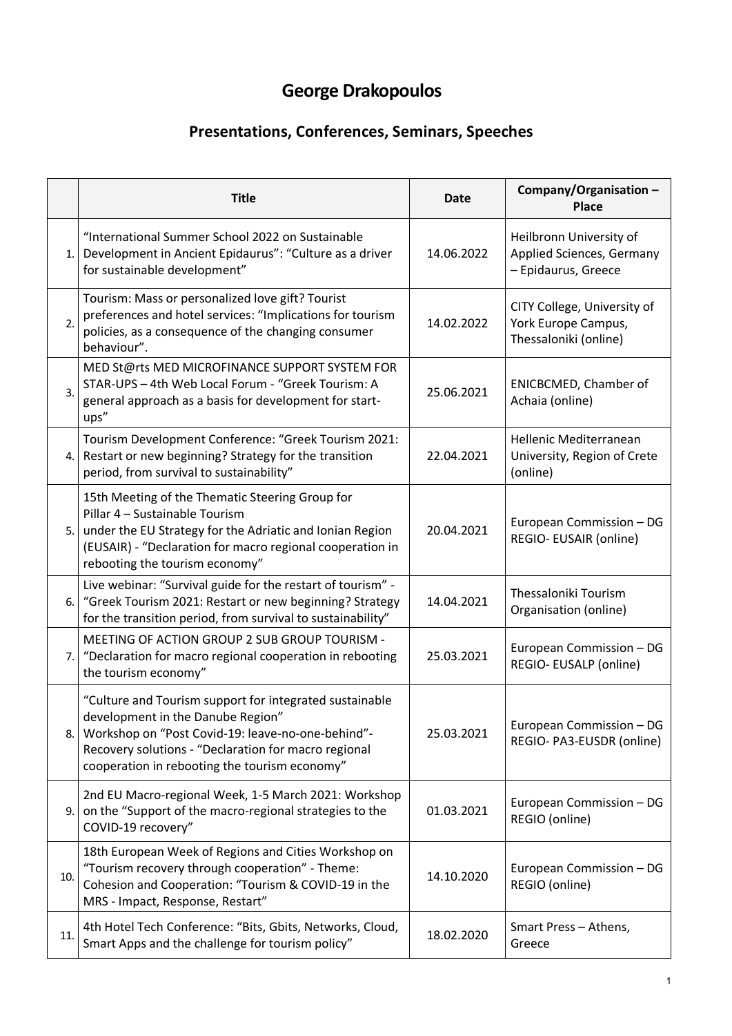## **George Drakopoulos**

## **Presentations, Conferences, Seminars, Speeches**

|      | <b>Title</b>                                                                                                                                                                                                                                               | Date       | Company/Organisation -<br>Place                                             |
|------|------------------------------------------------------------------------------------------------------------------------------------------------------------------------------------------------------------------------------------------------------------|------------|-----------------------------------------------------------------------------|
| 1.1  | "International Summer School 2022 on Sustainable<br>Development in Ancient Epidaurus": "Culture as a driver<br>for sustainable development"                                                                                                                | 14.06.2022 | Heilbronn University of<br>Applied Sciences, Germany<br>- Epidaurus, Greece |
| 2.   | Tourism: Mass or personalized love gift? Tourist<br>preferences and hotel services: "Implications for tourism<br>policies, as a consequence of the changing consumer<br>behaviour".                                                                        | 14.02.2022 | CITY College, University of<br>York Europe Campus,<br>Thessaloniki (online) |
| 3.   | MED St@rts MED MICROFINANCE SUPPORT SYSTEM FOR<br>STAR-UPS - 4th Web Local Forum - "Greek Tourism: A<br>general approach as a basis for development for start-<br>ups"                                                                                     | 25.06.2021 | <b>ENICBCMED, Chamber of</b><br>Achaia (online)                             |
| 4.1  | Tourism Development Conference: "Greek Tourism 2021:<br>Restart or new beginning? Strategy for the transition<br>period, from survival to sustainability"                                                                                                  | 22.04.2021 | <b>Hellenic Mediterranean</b><br>University, Region of Crete<br>(online)    |
| 5.1  | 15th Meeting of the Thematic Steering Group for<br>Pillar 4 - Sustainable Tourism<br>under the EU Strategy for the Adriatic and Ionian Region<br>(EUSAIR) - "Declaration for macro regional cooperation in<br>rebooting the tourism economy"               | 20.04.2021 | European Commission - DG<br>REGIO- EUSAIR (online)                          |
| 6.   | Live webinar: "Survival guide for the restart of tourism" -<br>"Greek Tourism 2021: Restart or new beginning? Strategy<br>for the transition period, from survival to sustainability"                                                                      | 14.04.2021 | Thessaloniki Tourism<br>Organisation (online)                               |
| 7.1  | MEETING OF ACTION GROUP 2 SUB GROUP TOURISM -<br>"Declaration for macro regional cooperation in rebooting<br>the tourism economy"                                                                                                                          | 25.03.2021 | European Commission - DG<br>REGIO- EUSALP (online)                          |
| 8. I | "Culture and Tourism support for integrated sustainable<br>development in the Danube Region"<br>Workshop on "Post Covid-19: leave-no-one-behind"-<br>Recovery solutions - "Declaration for macro regional<br>cooperation in rebooting the tourism economy" | 25.03.2021 | European Commission - DG<br>REGIO- PA3-EUSDR (online)                       |
| 9.1  | 2nd EU Macro-regional Week, 1-5 March 2021: Workshop<br>on the "Support of the macro-regional strategies to the<br>COVID-19 recovery"                                                                                                                      | 01.03.2021 | European Commission - DG<br>REGIO (online)                                  |
| 10.  | 18th European Week of Regions and Cities Workshop on<br>"Tourism recovery through cooperation" - Theme:<br>Cohesion and Cooperation: "Tourism & COVID-19 in the<br>MRS - Impact, Response, Restart"                                                        | 14.10.2020 | European Commission - DG<br>REGIO (online)                                  |
| 11.  | 4th Hotel Tech Conference: "Bits, Gbits, Networks, Cloud,<br>Smart Apps and the challenge for tourism policy"                                                                                                                                              | 18.02.2020 | Smart Press - Athens,<br>Greece                                             |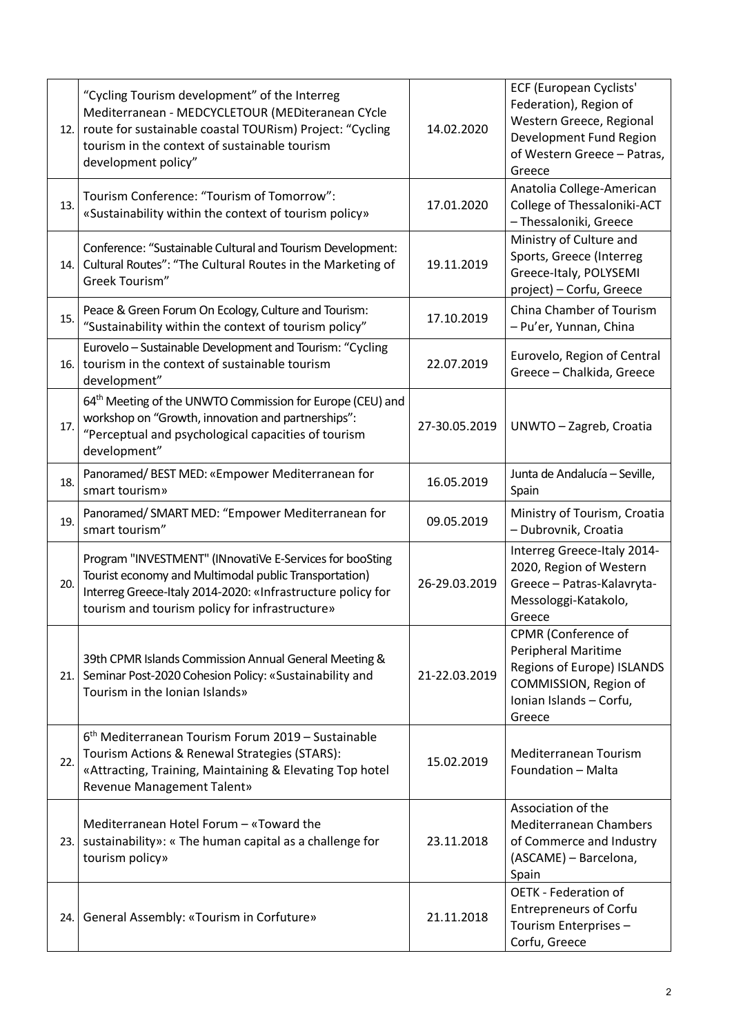| 12.1 | "Cycling Tourism development" of the Interreg<br>Mediterranean - MEDCYCLETOUR (MEDiteranean CYcle<br>route for sustainable coastal TOURism) Project: "Cycling<br>tourism in the context of sustainable tourism<br>development policy" | 14.02.2020    | <b>ECF (European Cyclists'</b><br>Federation), Region of<br>Western Greece, Regional<br>Development Fund Region<br>of Western Greece - Patras,<br>Greece |
|------|---------------------------------------------------------------------------------------------------------------------------------------------------------------------------------------------------------------------------------------|---------------|----------------------------------------------------------------------------------------------------------------------------------------------------------|
| 13.  | Tourism Conference: "Tourism of Tomorrow":<br>«Sustainability within the context of tourism policy»                                                                                                                                   | 17.01.2020    | Anatolia College-American<br>College of Thessaloniki-ACT<br>- Thessaloniki, Greece                                                                       |
| 14.  | Conference: "Sustainable Cultural and Tourism Development:<br>Cultural Routes": "The Cultural Routes in the Marketing of<br>Greek Tourism"                                                                                            | 19.11.2019    | Ministry of Culture and<br>Sports, Greece (Interreg<br>Greece-Italy, POLYSEMI<br>project) - Corfu, Greece                                                |
| 15.  | Peace & Green Forum On Ecology, Culture and Tourism:<br>"Sustainability within the context of tourism policy"                                                                                                                         | 17.10.2019    | China Chamber of Tourism<br>- Pu'er, Yunnan, China                                                                                                       |
| 16.1 | Eurovelo - Sustainable Development and Tourism: "Cycling<br>tourism in the context of sustainable tourism<br>development"                                                                                                             | 22.07.2019    | Eurovelo, Region of Central<br>Greece - Chalkida, Greece                                                                                                 |
| 17.  | 64 <sup>th</sup> Meeting of the UNWTO Commission for Europe (CEU) and<br>workshop on "Growth, innovation and partnerships":<br>"Perceptual and psychological capacities of tourism<br>development"                                    | 27-30.05.2019 | UNWTO - Zagreb, Croatia                                                                                                                                  |
| 18.  | Panoramed/BEST MED: «Empower Mediterranean for<br>smart tourism»                                                                                                                                                                      | 16.05.2019    | Junta de Andalucía - Seville,<br>Spain                                                                                                                   |
| 19.  | Panoramed/ SMART MED: "Empower Mediterranean for<br>smart tourism"                                                                                                                                                                    | 09.05.2019    | Ministry of Tourism, Croatia<br>- Dubrovnik, Croatia                                                                                                     |
| 20.  | Program "INVESTMENT" (INnovatiVe E-Services for booSting<br>Tourist economy and Multimodal public Transportation)<br>Interreg Greece-Italy 2014-2020: «Infrastructure policy for<br>tourism and tourism policy for infrastructure»    | 26-29.03.2019 | Interreg Greece-Italy 2014-<br>2020, Region of Western<br>Greece - Patras-Kalavryta-<br>Messologgi-Katakolo,<br>Greece                                   |
| 21.1 | 39th CPMR Islands Commission Annual General Meeting &<br>Seminar Post-2020 Cohesion Policy: «Sustainability and<br>Tourism in the Ionian Islands»                                                                                     | 21-22.03.2019 | CPMR (Conference of<br><b>Peripheral Maritime</b><br>Regions of Europe) ISLANDS<br>COMMISSION, Region of<br>Ionian Islands - Corfu,<br>Greece            |
| 22.  | 6 <sup>th</sup> Mediterranean Tourism Forum 2019 - Sustainable<br>Tourism Actions & Renewal Strategies (STARS):<br>«Attracting, Training, Maintaining & Elevating Top hotel<br><b>Revenue Management Talent»</b>                      | 15.02.2019    | Mediterranean Tourism<br>Foundation - Malta                                                                                                              |
| 23.1 | Mediterranean Hotel Forum - «Toward the<br>sustainability»: « The human capital as a challenge for<br>tourism policy»                                                                                                                 | 23.11.2018    | Association of the<br><b>Mediterranean Chambers</b><br>of Commerce and Industry<br>(ASCAME) - Barcelona,<br>Spain                                        |
| 24.1 | General Assembly: «Tourism in Corfuture»                                                                                                                                                                                              | 21.11.2018    | <b>OETK - Federation of</b><br><b>Entrepreneurs of Corfu</b><br>Tourism Enterprises -<br>Corfu, Greece                                                   |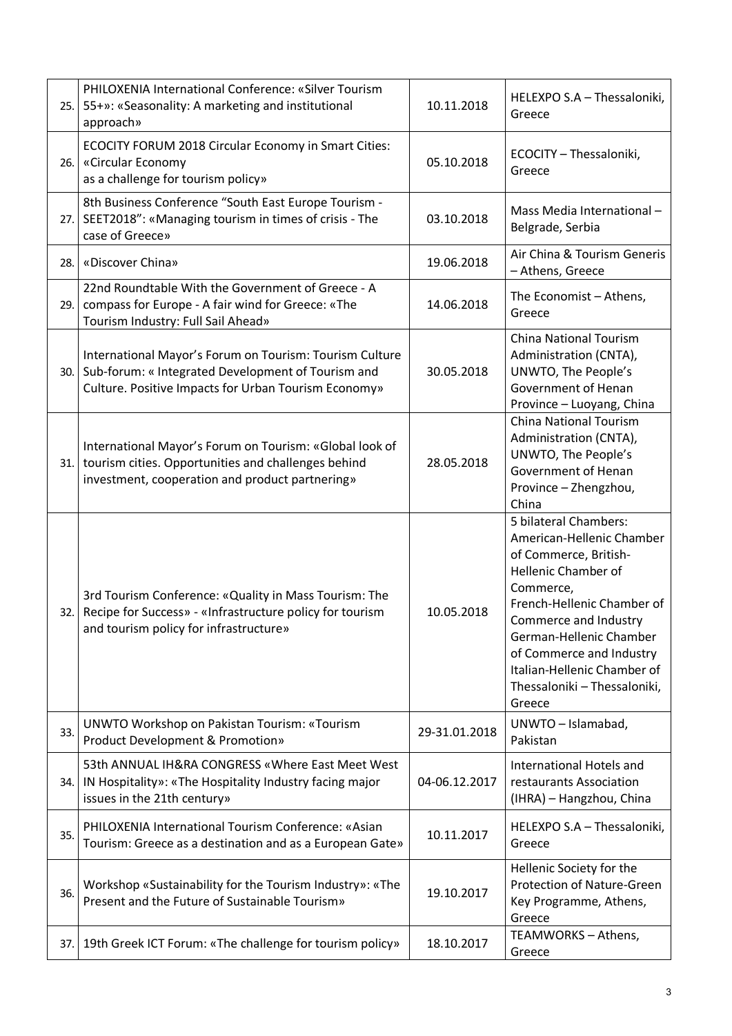| 25.   | PHILOXENIA International Conference: «Silver Tourism<br>55+»: «Seasonality: A marketing and institutional<br>approach»                                                | 10.11.2018    | HELEXPO S.A - Thessaloniki,<br>Greece                                                                                                                                                                                                                                                                  |
|-------|-----------------------------------------------------------------------------------------------------------------------------------------------------------------------|---------------|--------------------------------------------------------------------------------------------------------------------------------------------------------------------------------------------------------------------------------------------------------------------------------------------------------|
| 26.1  | ECOCITY FORUM 2018 Circular Economy in Smart Cities:<br>«Circular Economy<br>as a challenge for tourism policy»                                                       | 05.10.2018    | ECOCITY - Thessaloniki,<br>Greece                                                                                                                                                                                                                                                                      |
| 27.   | 8th Business Conference "South East Europe Tourism -<br>SEET2018": «Managing tourism in times of crisis - The<br>case of Greece»                                      | 03.10.2018    | Mass Media International -<br>Belgrade, Serbia                                                                                                                                                                                                                                                         |
| 28.   | «Discover China»                                                                                                                                                      | 19.06.2018    | Air China & Tourism Generis<br>- Athens, Greece                                                                                                                                                                                                                                                        |
| 29.   | 22nd Roundtable With the Government of Greece - A<br>compass for Europe - A fair wind for Greece: «The<br>Tourism Industry: Full Sail Ahead»                          | 14.06.2018    | The Economist - Athens,<br>Greece                                                                                                                                                                                                                                                                      |
| 30.   | International Mayor's Forum on Tourism: Tourism Culture<br>Sub-forum: « Integrated Development of Tourism and<br>Culture. Positive Impacts for Urban Tourism Economy» | 30.05.2018    | <b>China National Tourism</b><br>Administration (CNTA),<br>UNWTO, The People's<br>Government of Henan<br>Province - Luoyang, China                                                                                                                                                                     |
| 31.1  | International Mayor's Forum on Tourism: «Global look of<br>tourism cities. Opportunities and challenges behind<br>investment, cooperation and product partnering»     | 28.05.2018    | <b>China National Tourism</b><br>Administration (CNTA),<br>UNWTO, The People's<br>Government of Henan<br>Province - Zhengzhou,<br>China                                                                                                                                                                |
| 32.1  | 3rd Tourism Conference: «Quality in Mass Tourism: The<br>Recipe for Success» - «Infrastructure policy for tourism<br>and tourism policy for infrastructure»           | 10.05.2018    | 5 bilateral Chambers:<br>American-Hellenic Chamber<br>of Commerce, British-<br>Hellenic Chamber of<br>Commerce,<br>French-Hellenic Chamber of<br>Commerce and Industry<br>German-Hellenic Chamber<br>of Commerce and Industry<br>Italian-Hellenic Chamber of<br>Thessaloniki - Thessaloniki,<br>Greece |
| 33.   | <b>UNWTO Workshop on Pakistan Tourism: «Tourism</b><br><b>Product Development &amp; Promotion»</b>                                                                    | 29-31.01.2018 | UNWTO - Islamabad,<br>Pakistan                                                                                                                                                                                                                                                                         |
| 34. l | 53th ANNUAL IH&RA CONGRESS «Where East Meet West<br>IN Hospitality»: «The Hospitality Industry facing major<br>issues in the 21th century»                            | 04-06.12.2017 | International Hotels and<br>restaurants Association<br>(IHRA) - Hangzhou, China                                                                                                                                                                                                                        |
| 35.   | PHILOXENIA International Tourism Conference: «Asian<br>Tourism: Greece as a destination and as a European Gate»                                                       | 10.11.2017    | HELEXPO S.A - Thessaloniki,<br>Greece                                                                                                                                                                                                                                                                  |
| 36.   | Workshop «Sustainability for the Tourism Industry»: «The<br>Present and the Future of Sustainable Tourism»                                                            | 19.10.2017    | Hellenic Society for the<br>Protection of Nature-Green<br>Key Programme, Athens,<br>Greece                                                                                                                                                                                                             |
| 37.   | 19th Greek ICT Forum: «The challenge for tourism policy»                                                                                                              | 18.10.2017    | TEAMWORKS - Athens,<br>Greece                                                                                                                                                                                                                                                                          |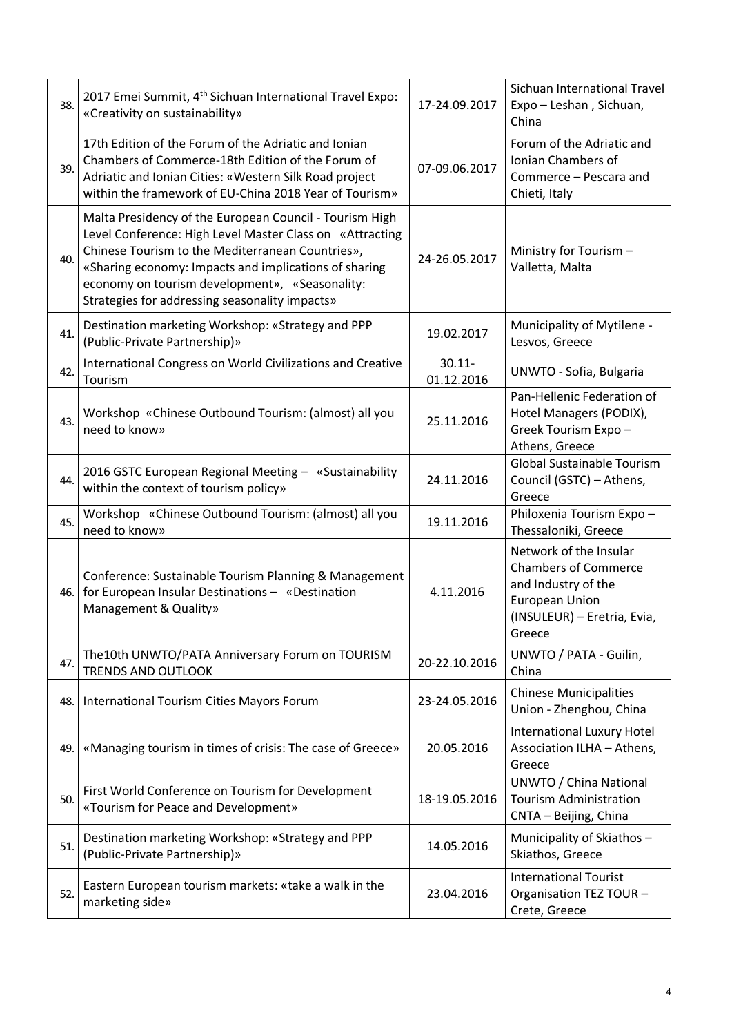| 38.  | 2017 Emei Summit, 4 <sup>th</sup> Sichuan International Travel Expo:<br>«Creativity on sustainability»                                                                                                                                                                                                                               | 17-24.09.2017           | Sichuan International Travel<br>Expo - Leshan, Sichuan,<br>China                                                                               |
|------|--------------------------------------------------------------------------------------------------------------------------------------------------------------------------------------------------------------------------------------------------------------------------------------------------------------------------------------|-------------------------|------------------------------------------------------------------------------------------------------------------------------------------------|
| 39.  | 17th Edition of the Forum of the Adriatic and Ionian<br>Chambers of Commerce-18th Edition of the Forum of<br>Adriatic and Ionian Cities: «Western Silk Road project<br>within the framework of EU-China 2018 Year of Tourism»                                                                                                        | 07-09.06.2017           | Forum of the Adriatic and<br>Ionian Chambers of<br>Commerce - Pescara and<br>Chieti, Italy                                                     |
| 40.  | Malta Presidency of the European Council - Tourism High<br>Level Conference: High Level Master Class on «Attracting<br>Chinese Tourism to the Mediterranean Countries»,<br>«Sharing economy: Impacts and implications of sharing<br>economy on tourism development», «Seasonality:<br>Strategies for addressing seasonality impacts» | 24-26.05.2017           | Ministry for Tourism -<br>Valletta, Malta                                                                                                      |
| 41.  | Destination marketing Workshop: «Strategy and PPP<br>(Public-Private Partnership)»                                                                                                                                                                                                                                                   | 19.02.2017              | Municipality of Mytilene -<br>Lesvos, Greece                                                                                                   |
| 42.  | International Congress on World Civilizations and Creative<br>Tourism                                                                                                                                                                                                                                                                | $30.11 -$<br>01.12.2016 | UNWTO - Sofia, Bulgaria                                                                                                                        |
| 43.  | Workshop «Chinese Outbound Tourism: (almost) all you<br>need to know»                                                                                                                                                                                                                                                                | 25.11.2016              | Pan-Hellenic Federation of<br>Hotel Managers (PODIX),<br>Greek Tourism Expo-<br>Athens, Greece                                                 |
| 44.  | 2016 GSTC European Regional Meeting - «Sustainability<br>within the context of tourism policy»                                                                                                                                                                                                                                       | 24.11.2016              | Global Sustainable Tourism<br>Council (GSTC) - Athens,<br>Greece                                                                               |
| 45.  | Workshop «Chinese Outbound Tourism: (almost) all you<br>need to know»                                                                                                                                                                                                                                                                | 19.11.2016              | Philoxenia Tourism Expo-<br>Thessaloniki, Greece                                                                                               |
| 46.1 | Conference: Sustainable Tourism Planning & Management<br>for European Insular Destinations - «Destination<br>Management & Quality»                                                                                                                                                                                                   | 4.11.2016               | Network of the Insular<br><b>Chambers of Commerce</b><br>and Industry of the<br><b>European Union</b><br>(INSULEUR) - Eretria, Evia,<br>Greece |
| 47.  | The 10th UNWTO/PATA Anniversary Forum on TOURISM<br><b>TRENDS AND OUTLOOK</b>                                                                                                                                                                                                                                                        | 20-22.10.2016           | UNWTO / PATA - Guilin,<br>China                                                                                                                |
| 48.  | International Tourism Cities Mayors Forum                                                                                                                                                                                                                                                                                            | 23-24.05.2016           | <b>Chinese Municipalities</b><br>Union - Zhenghou, China                                                                                       |
| 49.  | «Managing tourism in times of crisis: The case of Greece»                                                                                                                                                                                                                                                                            | 20.05.2016              | <b>International Luxury Hotel</b><br>Association ILHA - Athens,<br>Greece                                                                      |
| 50.  | First World Conference on Tourism for Development<br>«Tourism for Peace and Development»                                                                                                                                                                                                                                             | 18-19.05.2016           | UNWTO / China National<br><b>Tourism Administration</b><br>CNTA - Beijing, China                                                               |
| 51.  | Destination marketing Workshop: «Strategy and PPP<br>(Public-Private Partnership)»                                                                                                                                                                                                                                                   | 14.05.2016              | Municipality of Skiathos-<br>Skiathos, Greece                                                                                                  |
| 52.  | Eastern European tourism markets: «take a walk in the<br>marketing side»                                                                                                                                                                                                                                                             | 23.04.2016              | <b>International Tourist</b><br>Organisation TEZ TOUR -<br>Crete, Greece                                                                       |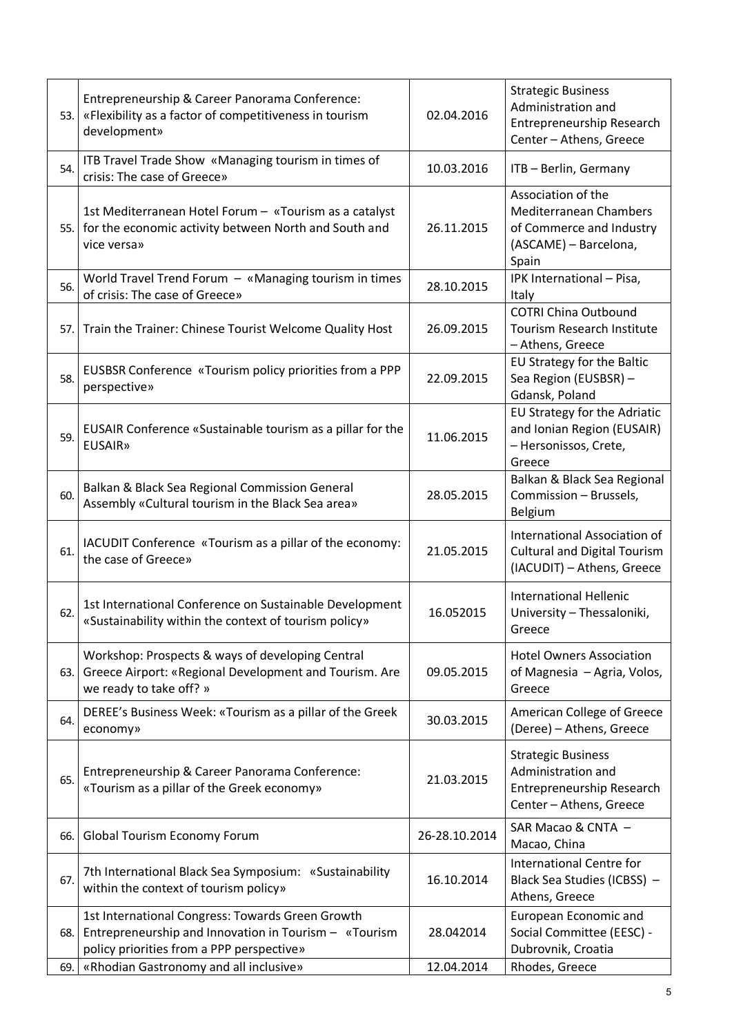| 53.  | Entrepreneurship & Career Panorama Conference:<br>«Flexibility as a factor of competitiveness in tourism<br>development»                               | 02.04.2016    | <b>Strategic Business</b><br>Administration and<br>Entrepreneurship Research<br>Center - Athens, Greece           |
|------|--------------------------------------------------------------------------------------------------------------------------------------------------------|---------------|-------------------------------------------------------------------------------------------------------------------|
| 54.  | ITB Travel Trade Show «Managing tourism in times of<br>crisis: The case of Greece»                                                                     | 10.03.2016    | ITB - Berlin, Germany                                                                                             |
| 55.1 | 1st Mediterranean Hotel Forum - «Tourism as a catalyst<br>for the economic activity between North and South and<br>vice versa»                         | 26.11.2015    | Association of the<br><b>Mediterranean Chambers</b><br>of Commerce and Industry<br>(ASCAME) - Barcelona,<br>Spain |
| 56.  | World Travel Trend Forum - «Managing tourism in times<br>of crisis: The case of Greece»                                                                | 28.10.2015    | IPK International - Pisa,<br>Italy                                                                                |
| 57.  | Train the Trainer: Chinese Tourist Welcome Quality Host                                                                                                | 26.09.2015    | <b>COTRI China Outbound</b><br><b>Tourism Research Institute</b><br>- Athens, Greece                              |
| 58.  | EUSBSR Conference «Tourism policy priorities from a PPP<br>perspective»                                                                                | 22.09.2015    | EU Strategy for the Baltic<br>Sea Region (EUSBSR) -<br>Gdansk, Poland                                             |
| 59.  | EUSAIR Conference «Sustainable tourism as a pillar for the<br><b>EUSAIR»</b>                                                                           | 11.06.2015    | EU Strategy for the Adriatic<br>and Ionian Region (EUSAIR)<br>- Hersonissos, Crete,<br>Greece                     |
| 60.  | Balkan & Black Sea Regional Commission General<br>Assembly «Cultural tourism in the Black Sea area»                                                    | 28.05.2015    | Balkan & Black Sea Regional<br>Commission - Brussels,<br>Belgium                                                  |
| 61.  | IACUDIT Conference «Tourism as a pillar of the economy:<br>the case of Greece»                                                                         | 21.05.2015    | International Association of<br><b>Cultural and Digital Tourism</b><br>(IACUDIT) - Athens, Greece                 |
| 62.  | 1st International Conference on Sustainable Development<br>«Sustainability within the context of tourism policy»                                       | 16.052015     | <b>International Hellenic</b><br>University - Thessaloniki,<br>Greece                                             |
| 63.  | Workshop: Prospects & ways of developing Central<br>Greece Airport: «Regional Development and Tourism. Are<br>we ready to take off? »                  | 09.05.2015    | <b>Hotel Owners Association</b><br>of Magnesia - Agria, Volos,<br>Greece                                          |
| 64.  | DEREE's Business Week: «Tourism as a pillar of the Greek<br>economy»                                                                                   | 30.03.2015    | American College of Greece<br>(Deree) - Athens, Greece                                                            |
| 65.  | Entrepreneurship & Career Panorama Conference:<br>«Tourism as a pillar of the Greek economy»                                                           | 21.03.2015    | <b>Strategic Business</b><br>Administration and<br>Entrepreneurship Research<br>Center - Athens, Greece           |
| 66.  | Global Tourism Economy Forum                                                                                                                           | 26-28.10.2014 | SAR Macao & CNTA -<br>Macao, China                                                                                |
| 67.  | 7th International Black Sea Symposium: «Sustainability<br>within the context of tourism policy»                                                        | 16.10.2014    | <b>International Centre for</b><br>Black Sea Studies (ICBSS) -<br>Athens, Greece                                  |
| 68.  | 1st International Congress: Towards Green Growth<br>Entrepreneurship and Innovation in Tourism - «Tourism<br>policy priorities from a PPP perspective» | 28.042014     | European Economic and<br>Social Committee (EESC) -<br>Dubrovnik, Croatia                                          |
| 69.  | «Rhodian Gastronomy and all inclusive»                                                                                                                 | 12.04.2014    | Rhodes, Greece                                                                                                    |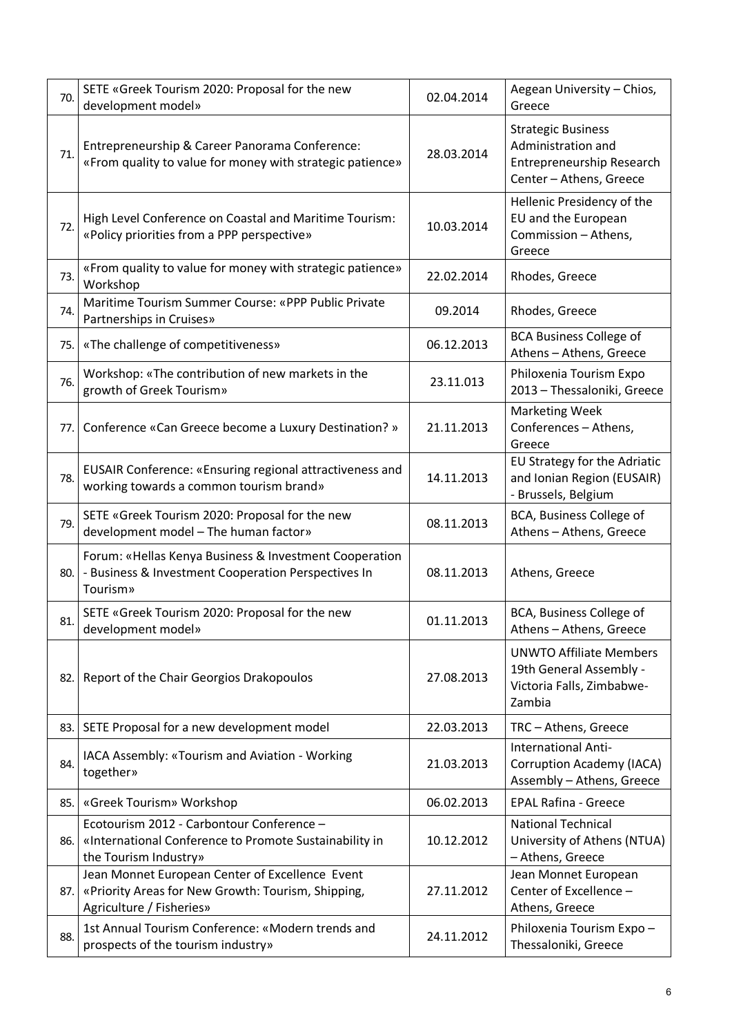| 70. | SETE «Greek Tourism 2020: Proposal for the new<br>development model»                                                              | 02.04.2014 | Aegean University - Chios,<br>Greece                                                                    |
|-----|-----------------------------------------------------------------------------------------------------------------------------------|------------|---------------------------------------------------------------------------------------------------------|
| 71. | Entrepreneurship & Career Panorama Conference:<br>«From quality to value for money with strategic patience»                       | 28.03.2014 | <b>Strategic Business</b><br>Administration and<br>Entrepreneurship Research<br>Center - Athens, Greece |
| 72. | High Level Conference on Coastal and Maritime Tourism:<br>«Policy priorities from a PPP perspective»                              | 10.03.2014 | Hellenic Presidency of the<br>EU and the European<br>Commission - Athens,<br>Greece                     |
| 73. | «From quality to value for money with strategic patience»<br>Workshop                                                             | 22.02.2014 | Rhodes, Greece                                                                                          |
| 74. | Maritime Tourism Summer Course: «PPP Public Private<br>Partnerships in Cruises»                                                   | 09.2014    | Rhodes, Greece                                                                                          |
| 75. | «The challenge of competitiveness»                                                                                                | 06.12.2013 | <b>BCA Business College of</b><br>Athens - Athens, Greece                                               |
| 76. | Workshop: «The contribution of new markets in the<br>growth of Greek Tourism»                                                     | 23.11.013  | Philoxenia Tourism Expo<br>2013 - Thessaloniki, Greece                                                  |
| 77. | Conference «Can Greece become a Luxury Destination? »                                                                             | 21.11.2013 | <b>Marketing Week</b><br>Conferences - Athens,<br>Greece                                                |
| 78. | EUSAIR Conference: «Ensuring regional attractiveness and<br>working towards a common tourism brand»                               | 14.11.2013 | EU Strategy for the Adriatic<br>and Ionian Region (EUSAIR)<br>- Brussels, Belgium                       |
| 79. | SETE «Greek Tourism 2020: Proposal for the new<br>development model - The human factor»                                           | 08.11.2013 | BCA, Business College of<br>Athens - Athens, Greece                                                     |
| 80. | Forum: «Hellas Kenya Business & Investment Cooperation<br>- Business & Investment Cooperation Perspectives In<br>Tourism»         | 08.11.2013 | Athens, Greece                                                                                          |
| 81. | SETE «Greek Tourism 2020: Proposal for the new<br>development model»                                                              | 01.11.2013 | BCA, Business College of<br>Athens - Athens, Greece                                                     |
| 82. | Report of the Chair Georgios Drakopoulos                                                                                          | 27.08.2013 | <b>UNWTO Affiliate Members</b><br>19th General Assembly -<br>Victoria Falls, Zimbabwe-<br>Zambia        |
| 83. | SETE Proposal for a new development model                                                                                         | 22.03.2013 | TRC - Athens, Greece                                                                                    |
| 84. | IACA Assembly: «Tourism and Aviation - Working<br>together»                                                                       | 21.03.2013 | <b>International Anti-</b><br><b>Corruption Academy (IACA)</b><br>Assembly - Athens, Greece             |
| 85. | «Greek Tourism» Workshop                                                                                                          | 06.02.2013 | <b>EPAL Rafina - Greece</b>                                                                             |
| 86. | Ecotourism 2012 - Carbontour Conference -<br>«International Conference to Promote Sustainability in<br>the Tourism Industry»      | 10.12.2012 | <b>National Technical</b><br>University of Athens (NTUA)<br>- Athens, Greece                            |
| 87. | Jean Monnet European Center of Excellence Event<br>«Priority Areas for New Growth: Tourism, Shipping,<br>Agriculture / Fisheries» | 27.11.2012 | Jean Monnet European<br>Center of Excellence -<br>Athens, Greece                                        |
| 88. | 1st Annual Tourism Conference: «Modern trends and<br>prospects of the tourism industry»                                           | 24.11.2012 | Philoxenia Tourism Expo-<br>Thessaloniki, Greece                                                        |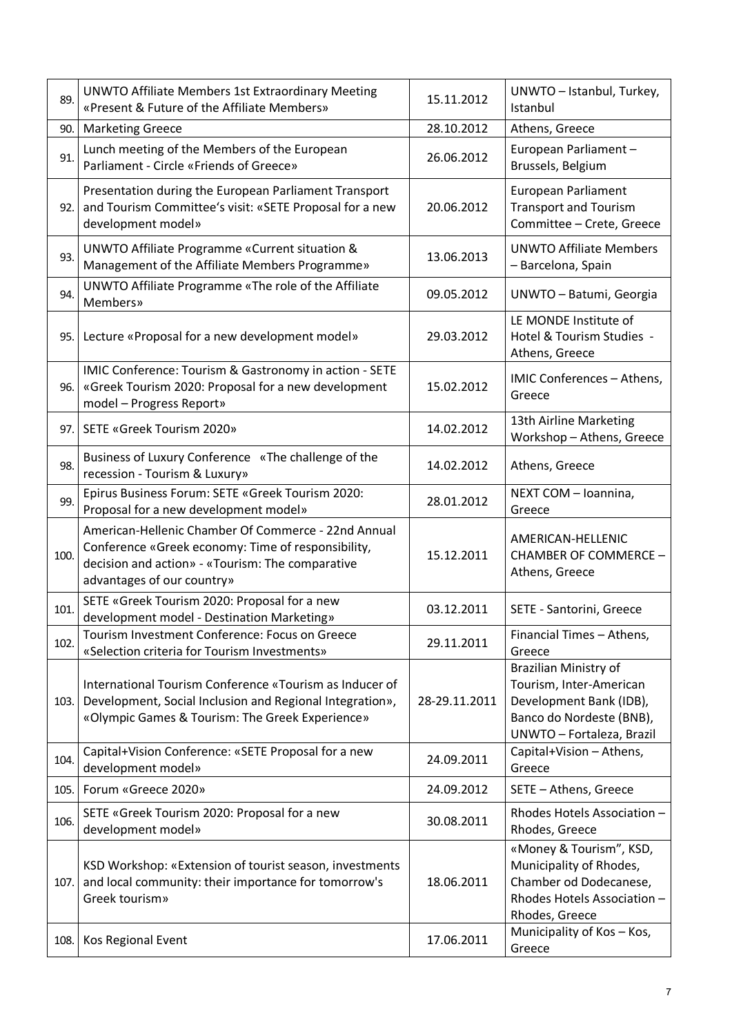| 89.  | <b>UNWTO Affiliate Members 1st Extraordinary Meeting</b><br>«Present & Future of the Affiliate Members»                                                                                     | 15.11.2012    | UNWTO - Istanbul, Turkey,<br>Istanbul                                                                                                |
|------|---------------------------------------------------------------------------------------------------------------------------------------------------------------------------------------------|---------------|--------------------------------------------------------------------------------------------------------------------------------------|
| 90.  | <b>Marketing Greece</b>                                                                                                                                                                     | 28.10.2012    | Athens, Greece                                                                                                                       |
| 91.  | Lunch meeting of the Members of the European<br>Parliament - Circle «Friends of Greece»                                                                                                     | 26.06.2012    | European Parliament-<br>Brussels, Belgium                                                                                            |
| 92.  | Presentation during the European Parliament Transport<br>and Tourism Committee's visit: «SETE Proposal for a new<br>development model»                                                      | 20.06.2012    | <b>European Parliament</b><br><b>Transport and Tourism</b><br>Committee - Crete, Greece                                              |
| 93.  | UNWTO Affiliate Programme «Current situation &<br>Management of the Affiliate Members Programme»                                                                                            | 13.06.2013    | <b>UNWTO Affiliate Members</b><br>- Barcelona, Spain                                                                                 |
| 94.  | UNWTO Affiliate Programme «The role of the Affiliate<br><b>Members</b> »                                                                                                                    | 09.05.2012    | UNWTO - Batumi, Georgia                                                                                                              |
| 95.  | Lecture «Proposal for a new development model»                                                                                                                                              | 29.03.2012    | LE MONDE Institute of<br>Hotel & Tourism Studies -<br>Athens, Greece                                                                 |
| 96.  | IMIC Conference: Tourism & Gastronomy in action - SETE<br>«Greek Tourism 2020: Proposal for a new development<br>model - Progress Report»                                                   | 15.02.2012    | IMIC Conferences - Athens,<br>Greece                                                                                                 |
| 97.1 | SETE «Greek Tourism 2020»                                                                                                                                                                   | 14.02.2012    | 13th Airline Marketing<br>Workshop - Athens, Greece                                                                                  |
| 98.  | Business of Luxury Conference «The challenge of the<br>recession - Tourism & Luxury»                                                                                                        | 14.02.2012    | Athens, Greece                                                                                                                       |
| 99.  | Epirus Business Forum: SETE «Greek Tourism 2020:<br>Proposal for a new development model»                                                                                                   | 28.01.2012    | NEXT COM - Ioannina,<br>Greece                                                                                                       |
| 100. | American-Hellenic Chamber Of Commerce - 22nd Annual<br>Conference «Greek economy: Time of responsibility,<br>decision and action» - «Tourism: The comparative<br>advantages of our country» | 15.12.2011    | AMERICAN-HELLENIC<br>CHAMBER OF COMMERCE -<br>Athens, Greece                                                                         |
| 101. | SETE «Greek Tourism 2020: Proposal for a new<br>development model - Destination Marketing»                                                                                                  | 03.12.2011    | SETE - Santorini, Greece                                                                                                             |
| 102. | Tourism Investment Conference: Focus on Greece<br>«Selection criteria for Tourism Investments»                                                                                              | 29.11.2011    | Financial Times - Athens,<br>Greece                                                                                                  |
| 103. | International Tourism Conference «Tourism as Inducer of<br>Development, Social Inclusion and Regional Integration»,<br>«Olympic Games & Tourism: The Greek Experience»                      | 28-29.11.2011 | Brazilian Ministry of<br>Tourism, Inter-American<br>Development Bank (IDB),<br>Banco do Nordeste (BNB),<br>UNWTO - Fortaleza, Brazil |
| 104. | Capital+Vision Conference: «SETE Proposal for a new<br>development model»                                                                                                                   | 24.09.2011    | Capital+Vision - Athens,<br>Greece                                                                                                   |
| 105. | Forum «Greece 2020»                                                                                                                                                                         | 24.09.2012    | SETE - Athens, Greece                                                                                                                |
| 106. | SETE «Greek Tourism 2020: Proposal for a new<br>development model»                                                                                                                          | 30.08.2011    | Rhodes Hotels Association -<br>Rhodes, Greece                                                                                        |
| 107. | KSD Workshop: «Extension of tourist season, investments<br>and local community: their importance for tomorrow's                                                                             | 18.06.2011    | «Money & Tourism", KSD,<br>Municipality of Rhodes,<br>Chamber od Dodecanese,                                                         |
|      | Greek tourism»                                                                                                                                                                              |               | Rhodes Hotels Association -<br>Rhodes, Greece<br>Municipality of Kos - Kos,                                                          |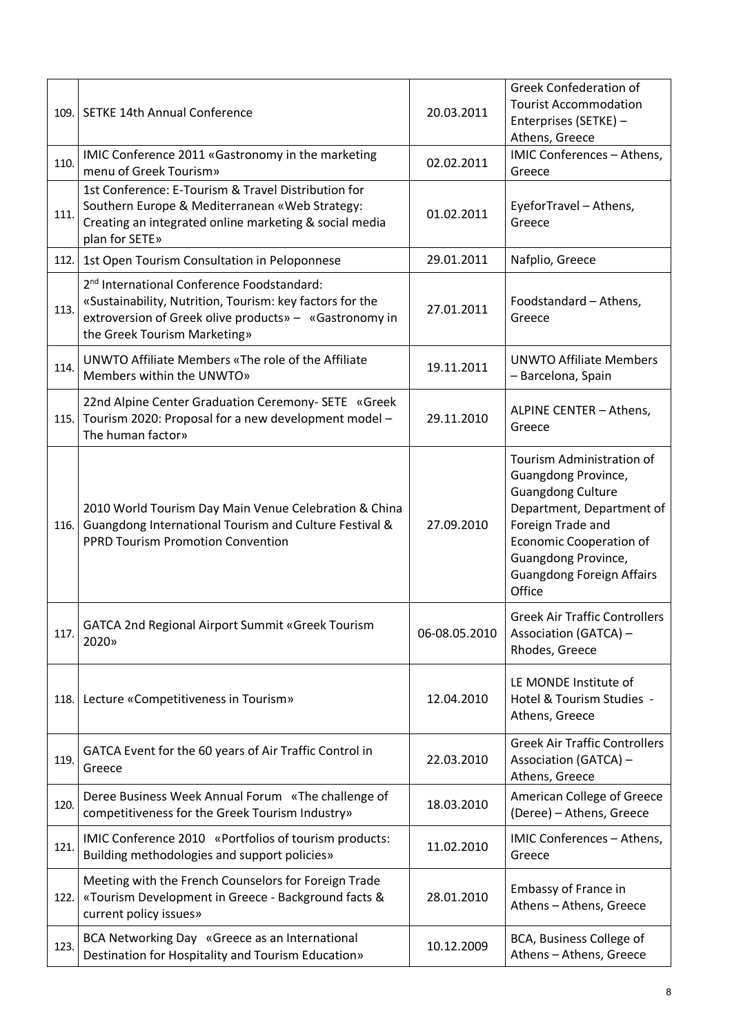| 109. | <b>SETKE 14th Annual Conference</b>                                                                                                                                                                          | 20.03.2011    | <b>Greek Confederation of</b><br><b>Tourist Accommodation</b><br>Enterprises (SETKE) -<br>Athens, Greece                                                                                                                              |
|------|--------------------------------------------------------------------------------------------------------------------------------------------------------------------------------------------------------------|---------------|---------------------------------------------------------------------------------------------------------------------------------------------------------------------------------------------------------------------------------------|
| 110. | IMIC Conference 2011 «Gastronomy in the marketing<br>menu of Greek Tourism»                                                                                                                                  | 02.02.2011    | IMIC Conferences - Athens,<br>Greece                                                                                                                                                                                                  |
| 111. | 1st Conference: E-Tourism & Travel Distribution for<br>Southern Europe & Mediterranean «Web Strategy:<br>Creating an integrated online marketing & social media<br>plan for SETE»                            | 01.02.2011    | EyeforTravel - Athens,<br>Greece                                                                                                                                                                                                      |
| 112. | 1st Open Tourism Consultation in Peloponnese                                                                                                                                                                 | 29.01.2011    | Nafplio, Greece                                                                                                                                                                                                                       |
| 113. | 2 <sup>nd</sup> International Conference Foodstandard:<br>«Sustainability, Nutrition, Tourism: key factors for the<br>extroversion of Greek olive products» - «Gastronomy in<br>the Greek Tourism Marketing» | 27.01.2011    | Foodstandard - Athens,<br>Greece                                                                                                                                                                                                      |
| 114. | UNWTO Affiliate Members «The role of the Affiliate<br>Members within the UNWTO»                                                                                                                              | 19.11.2011    | <b>UNWTO Affiliate Members</b><br>- Barcelona, Spain                                                                                                                                                                                  |
| 115. | 22nd Alpine Center Graduation Ceremony-SETE «Greek<br>Tourism 2020: Proposal for a new development model -<br>The human factor»                                                                              | 29.11.2010    | ALPINE CENTER - Athens,<br>Greece                                                                                                                                                                                                     |
| 116. | 2010 World Tourism Day Main Venue Celebration & China<br>Guangdong International Tourism and Culture Festival &<br><b>PPRD Tourism Promotion Convention</b>                                                  | 27.09.2010    | Tourism Administration of<br>Guangdong Province,<br><b>Guangdong Culture</b><br>Department, Department of<br>Foreign Trade and<br><b>Economic Cooperation of</b><br>Guangdong Province,<br><b>Guangdong Foreign Affairs</b><br>Office |
| 117. | <b>GATCA 2nd Regional Airport Summit «Greek Tourism</b><br>2020»                                                                                                                                             | 06-08.05.2010 | <b>Greek Air Traffic Controllers</b><br>Association (GATCA) -<br>Rhodes, Greece                                                                                                                                                       |
| 118. | Lecture «Competitiveness in Tourism»                                                                                                                                                                         | 12.04.2010    | LE MONDE Institute of<br>Hotel & Tourism Studies -<br>Athens, Greece                                                                                                                                                                  |
| 119. | GATCA Event for the 60 years of Air Traffic Control in<br>Greece                                                                                                                                             | 22.03.2010    | <b>Greek Air Traffic Controllers</b><br><b>Association (GATCA) -</b><br>Athens, Greece                                                                                                                                                |
| 120. | Deree Business Week Annual Forum «The challenge of<br>competitiveness for the Greek Tourism Industry»                                                                                                        | 18.03.2010    | American College of Greece<br>(Deree) - Athens, Greece                                                                                                                                                                                |
| 121. | IMIC Conference 2010 «Portfolios of tourism products:<br>Building methodologies and support policies»                                                                                                        | 11.02.2010    | IMIC Conferences - Athens,<br>Greece                                                                                                                                                                                                  |
| 122. | Meeting with the French Counselors for Foreign Trade<br>«Tourism Development in Greece - Background facts &<br>current policy issues»                                                                        | 28.01.2010    | Embassy of France in<br>Athens - Athens, Greece                                                                                                                                                                                       |
| 123. | BCA Networking Day «Greece as an International<br>Destination for Hospitality and Tourism Education»                                                                                                         | 10.12.2009    | BCA, Business College of<br>Athens - Athens, Greece                                                                                                                                                                                   |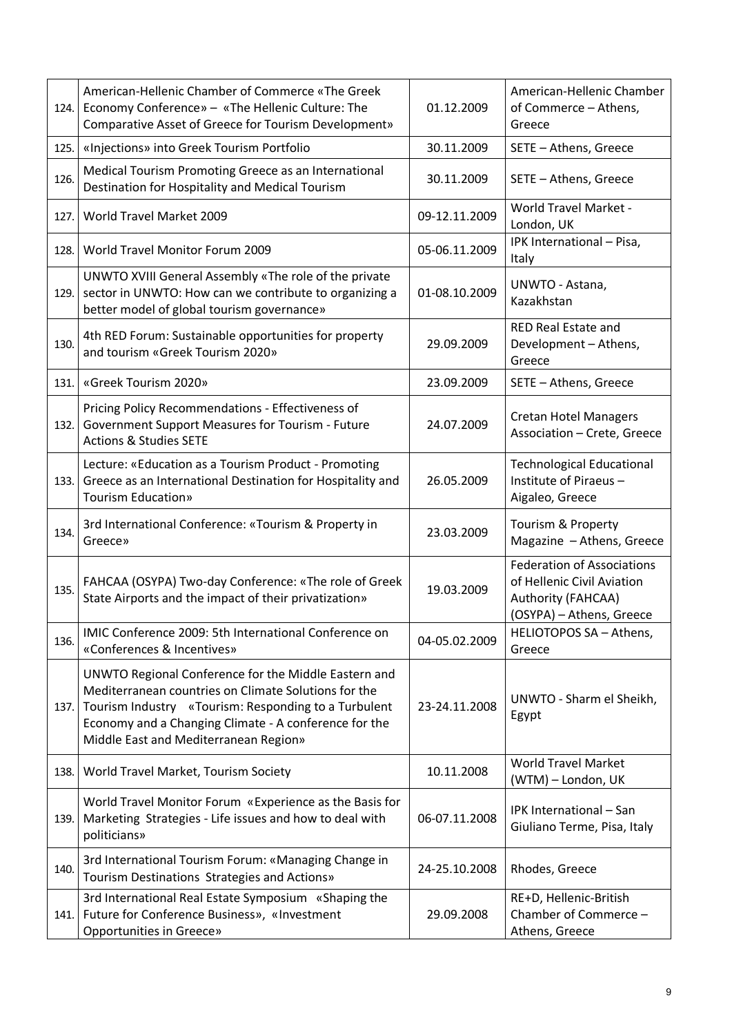| 124. | American-Hellenic Chamber of Commerce «The Greek<br>Economy Conference» - «The Hellenic Culture: The<br>Comparative Asset of Greece for Tourism Development»                                                                                                           | 01.12.2009    | American-Hellenic Chamber<br>of Commerce - Athens,<br>Greece                                                      |
|------|------------------------------------------------------------------------------------------------------------------------------------------------------------------------------------------------------------------------------------------------------------------------|---------------|-------------------------------------------------------------------------------------------------------------------|
| 125. | «Injections» into Greek Tourism Portfolio                                                                                                                                                                                                                              | 30.11.2009    | SETE - Athens, Greece                                                                                             |
| 126. | Medical Tourism Promoting Greece as an International<br>Destination for Hospitality and Medical Tourism                                                                                                                                                                | 30.11.2009    | SETE - Athens, Greece                                                                                             |
| 127. | World Travel Market 2009                                                                                                                                                                                                                                               | 09-12.11.2009 | <b>World Travel Market -</b><br>London, UK                                                                        |
| 128. | World Travel Monitor Forum 2009                                                                                                                                                                                                                                        | 05-06.11.2009 | IPK International - Pisa,<br>Italy                                                                                |
| 129. | UNWTO XVIII General Assembly «The role of the private<br>sector in UNWTO: How can we contribute to organizing a<br>better model of global tourism governance»                                                                                                          | 01-08.10.2009 | UNWTO - Astana,<br>Kazakhstan                                                                                     |
| 130. | 4th RED Forum: Sustainable opportunities for property<br>and tourism «Greek Tourism 2020»                                                                                                                                                                              | 29.09.2009    | <b>RED Real Estate and</b><br>Development - Athens,<br>Greece                                                     |
| 131. | «Greek Tourism 2020»                                                                                                                                                                                                                                                   | 23.09.2009    | SETE - Athens, Greece                                                                                             |
| 132. | Pricing Policy Recommendations - Effectiveness of<br>Government Support Measures for Tourism - Future<br><b>Actions &amp; Studies SETE</b>                                                                                                                             | 24.07.2009    | <b>Cretan Hotel Managers</b><br>Association - Crete, Greece                                                       |
| 133. | Lecture: «Education as a Tourism Product - Promoting<br>Greece as an International Destination for Hospitality and<br><b>Tourism Education»</b>                                                                                                                        | 26.05.2009    | <b>Technological Educational</b><br>Institute of Piraeus-<br>Aigaleo, Greece                                      |
| 134. | 3rd International Conference: «Tourism & Property in<br>Greece»                                                                                                                                                                                                        | 23.03.2009    | Tourism & Property<br>Magazine - Athens, Greece                                                                   |
| 135. | FAHCAA (OSYPA) Two-day Conference: «The role of Greek<br>State Airports and the impact of their privatization»                                                                                                                                                         | 19.03.2009    | <b>Federation of Associations</b><br>of Hellenic Civil Aviation<br>Authority (FAHCAA)<br>(OSYPA) - Athens, Greece |
| 136. | IMIC Conference 2009: 5th International Conference on<br>«Conferences & Incentives»                                                                                                                                                                                    | 04-05.02.2009 | HELIOTOPOS SA - Athens,<br>Greece                                                                                 |
| 137. | UNWTO Regional Conference for the Middle Eastern and<br>Mediterranean countries on Climate Solutions for the<br>Tourism Industry «Tourism: Responding to a Turbulent<br>Economy and a Changing Climate - A conference for the<br>Middle East and Mediterranean Region» | 23-24.11.2008 | UNWTO - Sharm el Sheikh,<br>Egypt                                                                                 |
| 138. | World Travel Market, Tourism Society                                                                                                                                                                                                                                   | 10.11.2008    | <b>World Travel Market</b><br>(WTM) - London, UK                                                                  |
| 139. | World Travel Monitor Forum «Experience as the Basis for<br>Marketing Strategies - Life issues and how to deal with<br>politicians»                                                                                                                                     | 06-07.11.2008 | IPK International - San<br>Giuliano Terme, Pisa, Italy                                                            |
| 140. | 3rd International Tourism Forum: «Managing Change in<br>Tourism Destinations Strategies and Actions»                                                                                                                                                                   | 24-25.10.2008 | Rhodes, Greece                                                                                                    |
| 141. | 3rd International Real Estate Symposium «Shaping the<br>Future for Conference Business», «Investment                                                                                                                                                                   | 29.09.2008    | RE+D, Hellenic-British<br>Chamber of Commerce -                                                                   |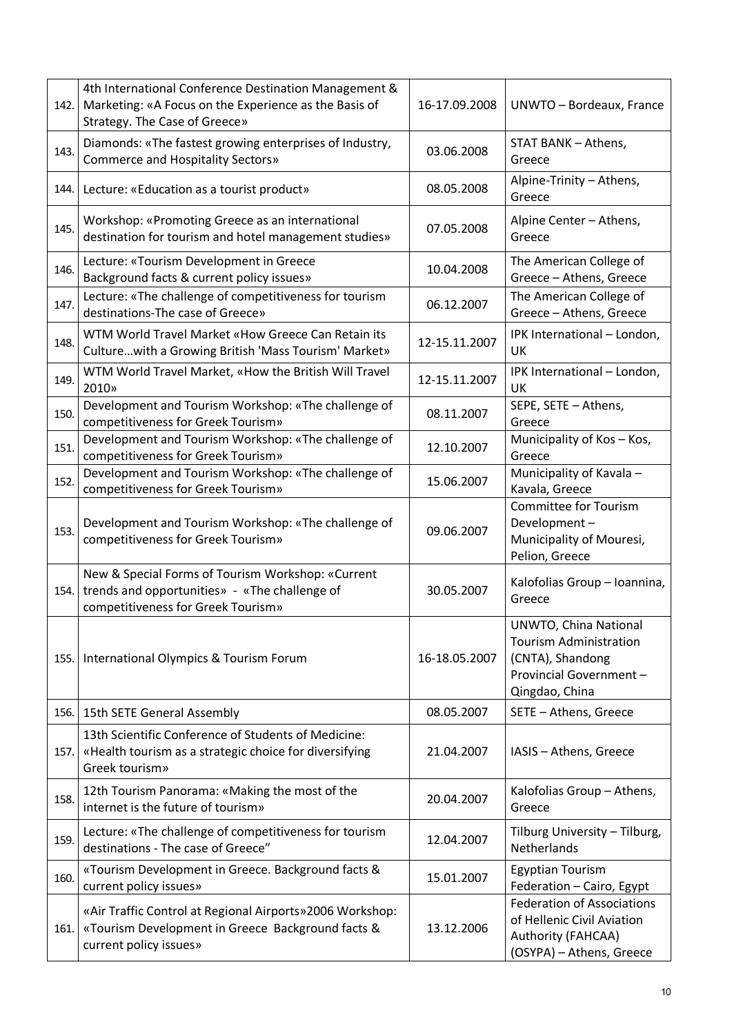| 142. | 4th International Conference Destination Management &<br>Marketing: «A Focus on the Experience as the Basis of<br>Strategy. The Case of Greece» | 16-17.09.2008 | UNWTO - Bordeaux, France                                                                                                |
|------|-------------------------------------------------------------------------------------------------------------------------------------------------|---------------|-------------------------------------------------------------------------------------------------------------------------|
| 143. | Diamonds: «The fastest growing enterprises of Industry,<br><b>Commerce and Hospitality Sectors»</b>                                             | 03.06.2008    | STAT BANK - Athens,<br>Greece                                                                                           |
| 144. | Lecture: «Education as a tourist product»                                                                                                       | 08.05.2008    | Alpine-Trinity - Athens,<br>Greece                                                                                      |
| 145. | Workshop: «Promoting Greece as an international<br>destination for tourism and hotel management studies»                                        | 07.05.2008    | Alpine Center - Athens,<br>Greece                                                                                       |
| 146. | Lecture: «Tourism Development in Greece<br>Background facts & current policy issues»                                                            | 10.04.2008    | The American College of<br>Greece - Athens, Greece                                                                      |
| 147. | Lecture: «The challenge of competitiveness for tourism<br>destinations-The case of Greece»                                                      | 06.12.2007    | The American College of<br>Greece - Athens, Greece                                                                      |
| 148. | WTM World Travel Market «How Greece Can Retain its<br>Culture with a Growing British 'Mass Tourism' Market»                                     | 12-15.11.2007 | IPK International - London,<br>UK                                                                                       |
| 149. | WTM World Travel Market, «How the British Will Travel<br>2010»                                                                                  | 12-15.11.2007 | IPK International - London,<br>UK                                                                                       |
| 150. | Development and Tourism Workshop: «The challenge of<br>competitiveness for Greek Tourism»                                                       | 08.11.2007    | SEPE, SETE - Athens,<br>Greece                                                                                          |
| 151. | Development and Tourism Workshop: «The challenge of<br>competitiveness for Greek Tourism»                                                       | 12.10.2007    | Municipality of Kos - Kos,<br>Greece                                                                                    |
| 152. | Development and Tourism Workshop: «The challenge of<br>competitiveness for Greek Tourism»                                                       | 15.06.2007    | Municipality of Kavala -<br>Kavala, Greece                                                                              |
| 153. | Development and Tourism Workshop: «The challenge of<br>competitiveness for Greek Tourism»                                                       | 09.06.2007    | <b>Committee for Tourism</b><br>Development-<br>Municipality of Mouresi,<br>Pelion, Greece                              |
| 154. | New & Special Forms of Tourism Workshop: «Current<br>trends and opportunities» - «The challenge of<br>competitiveness for Greek Tourism»        | 30.05.2007    | Kalofolias Group - Ioannina,<br>Greece                                                                                  |
| 155. | International Olympics & Tourism Forum                                                                                                          | 16-18.05.2007 | UNWTO, China National<br><b>Tourism Administration</b><br>(CNTA), Shandong<br>Provincial Government -<br>Qingdao, China |
| 156. | 15th SETE General Assembly                                                                                                                      | 08.05.2007    | SETE - Athens, Greece                                                                                                   |
| 157. | 13th Scientific Conference of Students of Medicine:<br>«Health tourism as a strategic choice for diversifying<br>Greek tourism»                 | 21.04.2007    | IASIS - Athens, Greece                                                                                                  |
| 158. | 12th Tourism Panorama: «Making the most of the<br>internet is the future of tourism»                                                            | 20.04.2007    | Kalofolias Group - Athens,<br>Greece                                                                                    |
| 159. | Lecture: «The challenge of competitiveness for tourism<br>destinations - The case of Greece"                                                    | 12.04.2007    | Tilburg University - Tilburg,<br>Netherlands                                                                            |
| 160. | «Tourism Development in Greece. Background facts &<br>current policy issues»                                                                    | 15.01.2007    | <b>Egyptian Tourism</b><br>Federation - Cairo, Egypt                                                                    |
| 161. | «Air Traffic Control at Regional Airports» 2006 Workshop:<br>«Tourism Development in Greece Background facts &<br>current policy issues»        | 13.12.2006    | <b>Federation of Associations</b><br>of Hellenic Civil Aviation<br>Authority (FAHCAA)<br>(OSYPA) - Athens, Greece       |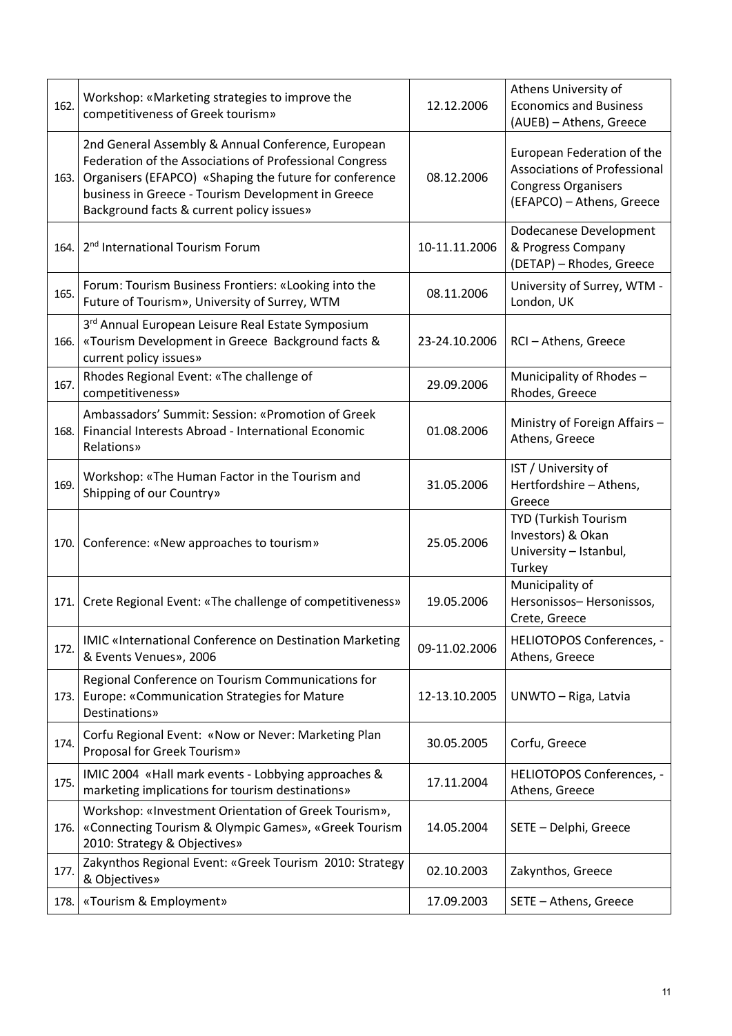| 162. | Workshop: «Marketing strategies to improve the<br>competitiveness of Greek tourism»                                                                                                                                                                                        | 12.12.2006    | Athens University of<br><b>Economics and Business</b><br>(AUEB) - Athens, Greece                                             |
|------|----------------------------------------------------------------------------------------------------------------------------------------------------------------------------------------------------------------------------------------------------------------------------|---------------|------------------------------------------------------------------------------------------------------------------------------|
| 163. | 2nd General Assembly & Annual Conference, European<br>Federation of the Associations of Professional Congress<br>Organisers (EFAPCO) «Shaping the future for conference<br>business in Greece - Tourism Development in Greece<br>Background facts & current policy issues» | 08.12.2006    | European Federation of the<br><b>Associations of Professional</b><br><b>Congress Organisers</b><br>(EFAPCO) - Athens, Greece |
| 164. | 2 <sup>nd</sup> International Tourism Forum                                                                                                                                                                                                                                | 10-11.11.2006 | Dodecanese Development<br>& Progress Company<br>(DETAP) - Rhodes, Greece                                                     |
| 165. | Forum: Tourism Business Frontiers: «Looking into the<br>Future of Tourism», University of Surrey, WTM                                                                                                                                                                      | 08.11.2006    | University of Surrey, WTM -<br>London, UK                                                                                    |
| 166. | 3rd Annual European Leisure Real Estate Symposium<br>«Tourism Development in Greece Background facts &<br>current policy issues»                                                                                                                                           | 23-24.10.2006 | RCI-Athens, Greece                                                                                                           |
| 167. | Rhodes Regional Event: «The challenge of<br>competitiveness»                                                                                                                                                                                                               | 29.09.2006    | Municipality of Rhodes-<br>Rhodes, Greece                                                                                    |
| 168. | Ambassadors' Summit: Session: «Promotion of Greek<br>Financial Interests Abroad - International Economic<br>Relations»                                                                                                                                                     | 01.08.2006    | Ministry of Foreign Affairs -<br>Athens, Greece                                                                              |
| 169. | Workshop: «The Human Factor in the Tourism and<br>Shipping of our Country»                                                                                                                                                                                                 | 31.05.2006    | IST / University of<br>Hertfordshire - Athens,<br>Greece                                                                     |
| 170. | Conference: «New approaches to tourism»                                                                                                                                                                                                                                    | 25.05.2006    | TYD (Turkish Tourism<br>Investors) & Okan<br>University - Istanbul,<br>Turkey                                                |
| 171. | Crete Regional Event: «The challenge of competitiveness»                                                                                                                                                                                                                   | 19.05.2006    | Municipality of<br>Hersonissos-Hersonissos,<br>Crete, Greece                                                                 |
| 172. | <b>IMIC «International Conference on Destination Marketing</b><br>& Events Venues», 2006                                                                                                                                                                                   | 09-11.02.2006 | HELIOTOPOS Conferences, -<br>Athens, Greece                                                                                  |
| 173. | Regional Conference on Tourism Communications for<br>Europe: «Communication Strategies for Mature<br><b>Destinations</b> »                                                                                                                                                 | 12-13.10.2005 | UNWTO - Riga, Latvia                                                                                                         |
| 174. | Corfu Regional Event: «Now or Never: Marketing Plan<br>Proposal for Greek Tourism»                                                                                                                                                                                         | 30.05.2005    | Corfu, Greece                                                                                                                |
| 175. | IMIC 2004 «Hall mark events - Lobbying approaches &<br>marketing implications for tourism destinations»                                                                                                                                                                    | 17.11.2004    | HELIOTOPOS Conferences, -<br>Athens, Greece                                                                                  |
| 176. | Workshop: «Investment Orientation of Greek Tourism»,<br>«Connecting Tourism & Olympic Games», «Greek Tourism<br>2010: Strategy & Objectives»                                                                                                                               | 14.05.2004    | SETE - Delphi, Greece                                                                                                        |
| 177. | Zakynthos Regional Event: «Greek Tourism 2010: Strategy<br>& Objectives»                                                                                                                                                                                                   | 02.10.2003    | Zakynthos, Greece                                                                                                            |
| 178. | «Tourism & Employment»                                                                                                                                                                                                                                                     | 17.09.2003    | SETE - Athens, Greece                                                                                                        |